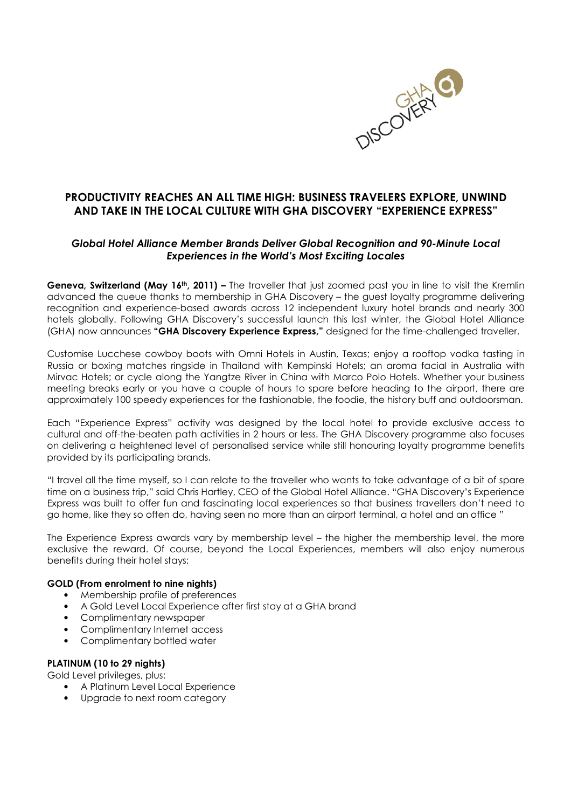

# PRODUCTIVITY REACHES AN ALL TIME HIGH: BUSINESS TRAVELERS EXPLORE, UNWIND AND TAKE IN THE LOCAL CULTURE WITH GHA DISCOVERY "EXPERIENCE EXPRESS"

## Global Hotel Alliance Member Brands Deliver Global Recognition and 90-Minute Local Experiences in the World's Most Exciting Locales

Geneva, Switzerland (May 16<sup>th</sup>, 2011) – The traveller that just zoomed past you in line to visit the Kremlin advanced the queue thanks to membership in GHA Discovery – the guest loyalty programme delivering recognition and experience-based awards across 12 independent luxury hotel brands and nearly 300 hotels globally. Following GHA Discovery's successful launch this last winter, the Global Hotel Alliance (GHA) now announces "GHA Discovery Experience Express," designed for the time-challenged traveller.

Customise Lucchese cowboy boots with Omni Hotels in Austin, Texas; enjoy a rooftop vodka tasting in Russia or boxing matches ringside in Thailand with Kempinski Hotels; an aroma facial in Australia with Mirvac Hotels; or cycle along the Yangtze River in China with Marco Polo Hotels. Whether your business meeting breaks early or you have a couple of hours to spare before heading to the airport, there are approximately 100 speedy experiences for the fashionable, the foodie, the history buff and outdoorsman.

Each "Experience Express" activity was designed by the local hotel to provide exclusive access to cultural and off-the-beaten path activities in 2 hours or less. The GHA Discovery programme also focuses on delivering a heightened level of personalised service while still honouring loyalty programme benefits provided by its participating brands.

"I travel all the time myself, so I can relate to the traveller who wants to take advantage of a bit of spare time on a business trip," said Chris Hartley, CEO of the Global Hotel Alliance. "GHA Discovery's Experience Express was built to offer fun and fascinating local experiences so that business travellers don't need to go home, like they so often do, having seen no more than an airport terminal, a hotel and an office "

The Experience Express awards vary by membership level – the higher the membership level, the more exclusive the reward. Of course, beyond the Local Experiences, members will also enjoy numerous benefits during their hotel stays:

## GOLD (From enrolment to nine nights)

- Membership profile of preferences
- A Gold Level Local Experience after first stay at a GHA brand
- Complimentary newspaper
- Complimentary Internet access
- Complimentary bottled water

## PLATINUM (10 to 29 nights)

Gold Level privileges, plus:

- A Platinum Level Local Experience
- Upgrade to next room category